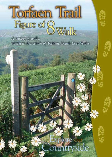

A variety of walks taking in the whole of Torfaen, South East Wales

# Me our puntryside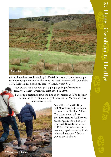

said to have been established by St Derfel. It is one of only two chapels in Wales being dedicated to the saint. St Derfel is supposedly one of the 1,000 Celtic saints buried on Bardsey Island, North Wales.

Later on the walk you will pass a plaque giving information of **Henllys Colliery**, which was established in 1895.

Part of this section follows the line of the tramroad (The Incline) which ran from the quarry right down to the Monmouthshire and Brecon Canal.

> You will pass by **Old Row** and **New Row**, built to house workers from Henllys Colliery. The oldest date back to the1800s. Henllys Colliery was abandoned in 1898, but later reopened. Records show that in 1900, there were only ten men employed producing black vein coal and clay; 7 below ground and 3 above.

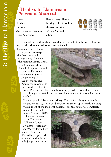#### **Henllys to Llantarnam Following an old tram road**

| Start:                       | Henllys Way, Henllys   |
|------------------------------|------------------------|
| Finish:                      | Boating Lake, Cwmbran  |
| Parking:                     | On-road parking        |
| <b>Approximate Distance:</b> | $5.5$ kms/ $3.5$ miles |
| Time Allowance:              | 2 hours                |



This route takes you through an area that has an industrial history, following, in part, the **Monmouthshire & Brecon Canal**.

This canal started life as two separate waterways: the Brecknock and Abergavenny Canal and the Monmouthshire Canal. The Monmouthshire Canal Company received its Act of Parliament simultaneously with the planning of the Brecknock and Abergavenny Canal. It was decided to link the



two at Pontymoile. Both canals were supported by horse-drawn tram roads bringing materials such as coal, limestone and iron ore down from the hills.

You will pass by **Llantarnam Abbey**. The original abbey was founded on this site in 1175 by a Lord of Caerleon Howel ap Iorwerth. Nothing visible is left of the medieval buildings, but the house was completely

rebuilt by Reginald James Blewitt in 1834- 5. He was the owner of the Porthmawr Colliery at Upper Cwmbran. 'Porthmawr' and 'Magna Porta' both mean 'Great Gate'. The Abbey is presently occupied by the Sisters of St Joseph of Annecy.

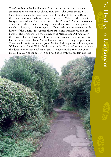The **Greenhouse Public House** is along this section. Above the door is an inscription written in Welsh and translates, 'The Green House 1719. Good beer and cider for you. Come in and you shall taste it'. In 1839, the Chartists who had advanced down the Eastern Valley on their way to Newport stopped here for refreshment and Mr Blewitt MP from Llantarnam came out to talk to them and to try to deter them from continuing their march to Newport, but he was ignored. If you wish to know more about the history of the Chartist movement, there are several websites you can visit. Next to The Greenhouse is the church of **St Michael and All Angels**. In the graveyard is a restored preaching cross, the base and shaft are ancient, but the cross is much later. Also of interest, situated in the graveyard near The Greenhouse is the grave of John William Fielding, who, as Private John Williams in the South Wales Borderers, won the Victoria Cross for his part in the defence of Rorke's Drift on 22 and 23 January in the Zulu War of 1879. He died in 1937 at the age of 75 and was buried with full military honours.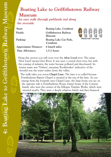## **Boating Lake to Griffithstown Railway Museum**

**An easy walk through parklands and along the riverside**

| Start:                       | Boating Lake, Cwmbran             |                                    |
|------------------------------|-----------------------------------|------------------------------------|
| Finish:                      | Griffithstown Railway<br>Museum   |                                    |
| Parking:                     | Boating Lake Car Park,<br>Cwmbran | Difficulty of walk - 1 (very easy) |
| <b>Approximate Distance:</b> | 6 kms/4 miles                     |                                    |
| Time Allowance:              | $1.5-2$ hours                     |                                    |

Along this section you will cross over the **Afon Lwyd** river. The name 'Afon Lwyd' means Grey River. It was once a crystal clear river, but with the coming of industry, the water became polluted and discoloured. Its former name was 'Torfaen', meaning 'Rockbreaker' indicative of the forceful way the water rushes down the valley.

The walk takes you across **Chapel Lane**. The lane is so called because Pontrhydyrun Baptist Chapel is situated at the top of the lane. As you emerge from the footpath onto Chapel Lane, the large house you see on the opposite side is Pontrhydyrun House, former home of the Conway family, who were the owners of the Edlogan Tinplate Works, which were situated nearby. They were a deeply religious family and they financed

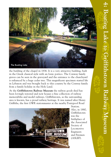

the building of the chapel in 1836. It is a very attractive building, built in the Greek classical style with an Ionic portico. The Conway family graves can be seen in the graveyard and the entrance to the churchyard is enhanced by a huge cedar tree. This magnificent specimen started life in Lebanon and was brought back to this country by the Conway family from a family holiday in the Holy Land.

At the **Griffithstown Railway Museum** the railway goods shed has been lovingly restored and now houses a fine collection of railway memorabilia and model railways. Griffithstown, as the surrounding area is known, has a proud railway heritage. It was named after Henry Griffiths, the first GWR stationmaster at the nearby Pontypool Road



Station. Also, in 1880, Griffithstown was the birthplace of the Associated Society of Locomotive Engineers and Firemen (ASLEF).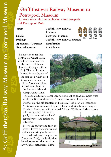## **Griffithstown Railway Museum to Pontypool Museum**

**An easy walk via the cycleway, canal towpath and Pontypool Park**

| ×<br>. .<br>۰,<br>×<br>۰.<br>٠<br>۰.<br>× |  |
|-------------------------------------------|--|
|                                           |  |

| Start:                       | Griffithstown Railway        |  |                               |  |
|------------------------------|------------------------------|--|-------------------------------|--|
|                              | Museum                       |  |                               |  |
| Finish:                      | Pontypool Museum             |  |                               |  |
| Parking:                     | Griffithstown Railway Museum |  | Difficulty of walk - 2 (easy) |  |
| <b>Approximate Distance:</b> | 3kms/2miles                  |  |                               |  |
| Time Allowance:              | $1-1.5$ hours                |  |                               |  |

This route soon reaches **Pontymoile Canal Basin** which has an attractive bridge and a toll house, Junction Cottage built in 1814. The toll house is located beside the site of the stop lock which used to regulate the waters of the Monmouthshire Canal from those of the Brecknockshire & Abergavenny Canal.



 $\sqrt{2}$  $\sqrt{2}$  $\sqrt{1}$ 

The Monmouthshire Canal used to bend left to continue north west while the Brecknockshire & Abergavenny Canal heads north.

Further on, the old **fountain** at Fountain Road bears an inscription 'This fountain was erected by neighbours and friends in memory of Elizabeth Catherine wife of Alfred Addams Williams of Maesderwen

who estimable qualities and godly life are worthy alike of remembrance and imitation. AD1889.

Before the railway and then the present bypass were constructed (which you will pass between the canal basin and the gates to Pontypool Park), the land below **Maesderwen** was the site of an early Quaker settlement. Elisha

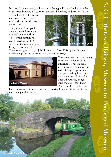The old meeting house and its burial ground is itself now buried under the road embankment.

The gates at **Pontypool Park** are a wonderful example of metal craftsmanship. The central portion was constructed in the 1720s with the side gates and piers being reconstructed in 1835.



They were a gift to Major John Hanbury (1664-1734) by the Duchess of Marlborough on the occasion of his second marriage.



**Pontypool** was once a thriving town and evidence of the affluence it once enjoyed can be seen in its many fine old buildings. It prospered and grew mainly from the manufacturing of iron after Richard Hanbury bought land there in 1588. Later, Pontypool became famous

for its **Japanware**, ironware with a decorative lacquered finish, which is much sought after today.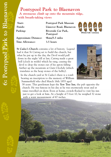#### **Pontypool Park to Blaenavon A strenuous climb up onto the mountain ridge, with breath-taking views**

**Start: Pontypool Park Museum Finish: Llanover Road, Blaenavon Parking: Riverside Car Park, Pontypool Approximate Distance: 9kms/5.5 miles Time Allowance: 3.5 hours**



**St Cadoc's Church** contains a lot of history. Legend had it that St Cattwg set to build the church, but what he put up in the day, the Devil would pull down in the night 'till at last, Cattwg made a great bell (cloch in welsh) which he rang, causing the devil to drop the stones out of his apron falling further up the mountain at Garn Clochdy (which translates as the heap stones of the belfry).

In the church yard at St Cadoc's there is a tomb bearing an inscription to the memory of William Summerfield who died March 16th 1855 aged



38 years. This gentleman kept the **Yew Tree Inn**, the pub opposite the church. He was famous in his day as he was enormously stout and at times travelled on show. Even at home, crowds flocked to visit his inn just to get a look at him. At a height of 5 foot 10, he weighed 32 stone with a waist measurement of 67 inches.

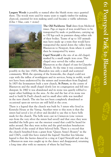**Lasgarn Woods** is possibly so named after the bluish stone once quarried there. The woods were used for many years to supply timber for making charcoal, essential for iron making until coal became a viable substitute.  $(G$ las = blue, carn = stone)



**The Old Packhorse Trail** dates from Medieval times. Pigs or ingots of iron would have to be transported by mule or packhorses, carrying up to 150 kgs each in panniers slung either side of their bodies. Teams of up to 100 animals may have made up a train that would have transported the metal down the valley from Blaenavon to Newport, from where it could then be transported by water.

**Capel Newydd** is the site of an old chapel, marked by a small simple iron cross. This chapel once served the valley around Blaenavon as the chapel of ease for Llanofer Church. At the time it was constructed,

possibly in the late 1500's, Blaenafon was only a small and scattered community. With the opening of the Ironworks, the chapel could not cope with the influx of worshippers and its services, being in welsh, would not have been understood by the miners and ironworkers from England. In 1805 the Ironmasters built a new church, **St Peters**, in the centre of Blaenavon and the small chapel slowly lost its congregation and fell into disrepair. In 1860 it was abandoned and its stone was quietly robbed to repair other buildings in the area. At the end the last of its stone was used to build St Paul's church and its small alter table was installed in the new church. The site has not been completely abandoned as occasional open-air services are still held at the cross.

There is a legend that the church was built by 3 sisters who lived in Kenricks House at the Varteg. Another twist to this story is that the sisters had saved a lot of silver and decided to use this to have bells made for the church. The bells were cast in Cwmavon (one version says from the very silver the sisters had saved) and that once they were installed the bells gave out the sweetest sound that could be heard for miles around. But they were stolen and the grief-stricken benefactors died bereft of the sound of their beloved bells. There is a record that the church benefited from a grant from "Queen Anne's Bounty" in the mid 1760's, could this have started the legend? Another less fulsome legend is that the faeries danced in a ring at Capel Newydd and one day a Blaenavon man was caught up in the dance and disappeared, returning a long time after with no memory of where he had been.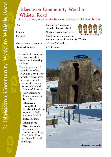## **Blaenavon Community Wood to Whistle Road**

**A small town, once at the heart of the Industrial Revolution**

**Approximate Distance: 5.5 kms/3.4 miles Time Allowance: 2 5-3 hours**

The town of **Blaenavon** contains a wealth of history and interesting buildings.

You will pass an old schoolroom (Once Hawkins Corn Stores) which is constructed of original rubble stone with dressed stone quoins and slate roof. It was a later addition to Moriah Chapel on Broad Street.

> **Blaenavon Evangelical Moriah Chapel** was opened in 1888 and is a Grade ll Listed Building.

Along **Broad Street** are some well-preserved 19th century shops, Nos 15-19. They are Grade ll Listed Buildings.

**Start: Blaenavon Community Wood, Llanover Road Finish: Whistle Road, Blaenavon Parking: Small parking area at the entrance to the Community Woods**



Blaenavon Ironworks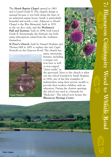The **Horeb Baptist Chapel** opened in 1863 and is Listed Grade ll. The chapel's design is unusual because it was built along the lines of an industrial engine house. Inside is particularly beautiful and worth a visit. Adjacent to Horeb Chapel is the War Memorial, built in 1931 in the art deco style, and the **Workmen's Hall and Institute**, built in 1894, both Listed Grade ll. Interestingly, the Institute was built using subscriptions raised from the workmen themselves.

**St Peter's Church**, built by Samuel Hopkins and Thomas Hill in 1805 to replace the tiny Capel Newydd on the Llanover Road. The church has



many interesting features, including a unique cast iron font as well as iron topped "chest tombs" in

the graveyard. Next to the church is what was the school founded by Sarah Hopkins in 1816, one of the first examples of industrialists using their private wealth to provide their workers children with an education. During the chartist uprisings the school was used as a barracks for "Redcoats". The school now houses the **Blaenavon Heritage Centre**.



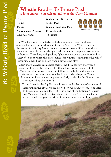#### **Whistle Road – To Pentre Piod A long energetic stretch up and over the Coity Mountain**

| Start:                       | Whistle Inn, Blaenavon       |
|------------------------------|------------------------------|
| Finish:                      | Pentre Piod                  |
| Parking:                     | <b>Whistle Road Car Park</b> |
| <b>Approximate Distance:</b> | 15 kms/9 miles               |
| Time Allowance:              | 4-5 hours                    |



The **Whistle Inn** has a fantastic collection of miner's lamps and also warranted a mention by Alexander Cordell. Above the Whistle Inn, on the slopes of the Coity Mountain and also over towards Waunavon, there were often brutal bare knuckle fights held away from the prying eyes of the authorities. These long and gruelling fights were a way for some to subsidise their often poor wages, the large "purses" for winning outweighing the risk of sustaining a handicap or death from a devastating blow.

**Waun Mary Gunter Farm** dates back to the 17th century. Mary was a member of one of the influential catholic landowning families of old Monmouthshire who continued to follow the catholic faith after the reformation. Secret services were held in a hidden chapel at Gunter Mansion in Abergavenny. A priest regularly hidden by the Gunters' was later executed at Usk in 1678.

You will pass by the **Big Pit**, which was so called because of its elliptical shaft sunk in the 1860's which allowed for two drams of coal to be lifted to the surface side by side. As Big Pit is one of the National Galleries and Museums of Wales, entry is free so if you don't have time for an underground tour you can still visit its shop, cafes and toilets.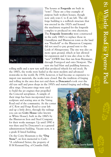

The houses at **Forgeside** are built in "rows". These are a fine example of purpose built workers houses, though now only rows C to E are left. The old forge building is a redbrick structure that was erected in the 1920's and housed the machinery required for the forgeside complex to produced its own electricity. The **Forgeside Ironworks** were constructed in the early 1860's to replace those in Garnddyrus and Blaenavon town as the land was "Freehold" so the Blaenavon Company did not need to pay ground rent to the Lords of Abergavenny. The site was also on more open ground, which at last allowed for expansion and it was also close to the "new" LNWR line that ran from Brynmawr, through Pontypool and onto Newport. The new site had blast and puddling furnaces,

rolling mills and a new tyre mill that produced wheels for rail stock. By the 1880's, the works were hailed as the most modern and advanced ironworks in the world. By 1938, however, it had become so expensive to import raw materials, the works were closed. But the tradition of forging and rolling in the area does not end there as **Doncaster's** took over the old tyre mill and press shops in the 1950's and started forging and rolling

alloy rings. Doncaster rings were used to build the jet engines that propelled the Concord aeroplanes. A sample of their rings has been incorporated into a sculpture and seating area at the Varteg Road end of the community. At the corner of C Row and Forge Road to your left and up a little drive, through the railings you can see **Coity House** (also known as White House), built in the 1860's by the Blaenavon Iron and Steel Company for their works manager. Up until 1990 it was then used by Doncaster's as a general administration building. Vacant now, it is a grade II listed building.

On the Coity Mountain is the **"Dog Stone"**, an Iron memorial to Carlo "A celebrated Setter, the property of H M Kennard Esq. of Crumlin Hall, © Wales Tourist Board



**8: Whistle Road to Pentre Piod**

Vhistle Road to Pentre Pioc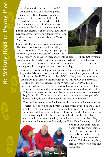accidentally shot August 12th 1864". Mr Kennard was on a shooting party organised by the Blaenavon Company when his beloved dog was killed. He ordered the dog be buried where it fell and had the memorial cast in the ironworks before it was hauled up the mountain by ponies and erected over the grave. Two other Kennard dogs, "Billy" and "Bones" have stone markers, found in the grounds of Ty Mawr, Blaenafon.

**Graig Ddu Farm** is now some stone ruins. This farm was also once a pub and allegedly a pack horse station. This may be a good place to stop if you have brought refreshments as



it has good views of Abersychan and plenty of stone to sit on. (Abersychan comes from the welsh Aber=confluence and sych=dry. This is because the Cwmsychan brook would run dry in the summer, or even disappear underground to reappear further down the valley).

Look out across the valley at Abersychan below you and you will see an impressive **Viaduct** crossing a small valley. The engineer John Gardiner built this in the 1870's to carry the LNWR railway line that went from Brynmawr to Blaenafon linking with the GWR railway at Pontypool. (This is the line you crossed by the Whistle Inn). In 1912 the lines were opened to passenger services as well as for mineral trains, making it easier for miners and other workers to travel up and down the valley. This service ceased in 1941 and the last mineral train left Blaenavons' Big Pit in 1981. The track was taken up but the line is now part of a leisure and cycle route that extends the length of Torfaen.

Turn to look down the valley below to the site of the **Abersychan Iron Works** (also known as the British). These works opened in the 1820's and by 1830 the works were in full operation, consisting of six blast furnaces, puddling furnaces, forges, rolling mills and collieries supplying all the coal required by the works. Initially, the finished iron bars and rails would have been hauled by horse drawn trams down the valley to the canal at Pontnewynydd; latterly the Ebbw Vale Company installed



a railroad that connected the works with the "new" mineral line. The introduction of steel rails in 1869 led to the collapse of many ironworks and in 1876, the Abersychan/ British works were closed and dismantled.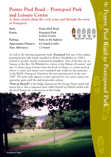### **Pentre Piod Road – Pontypool Park and Leisure Centre**

**A short stretch along the cycle route and through the town of Pontypool**

**Start: Pentre Piod Road Finish: Pontypool Park Parking: Park on the highway Approximate Distance: 4.2 kms/2.6 miles Time Allowance: 1.5 hours**

**Leisure Centre**



As well as the thriving Japanware trade, **Pontypool** had one of the earliest printing presses (the fourth installed in Wales). Established in 1740 it seemed to produce mostly ecclesiastical pamphlets. One of the first was an "answer of the Rev. Mr Whitfield to a letter of the Bishop of London" and was "A choice drop of honey from the Rock of Christ; or a short word of advice to saints and sinners now translated into welsh for the assistance of the Welsh. Pontypool. Printed in the new printing press in the year 1740". The press only appears to have operated for two years, a press not appearing again until the mid nineteenth century.

**"Pont ap Howell"** is the bridge depicted in the George Street mural and legend has it that a supposed cleric called Howell ap Dafydd tussled with the devil during the construction of this bridge.

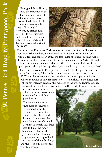**Pontypool Park House**, once the residence of the Hanburys and is now St Alban's Comprehensive Roman Catholic School. The school was founded, originally as a girl's convent, by French nuns in 1914. It was extended and turned into a secondary school in the 1950's and became a comprehensive in the 1980's.



The grounds of **Pontypool Park** were once a deer park for the Squires of Pontypool (the Hanburys) which evolved over the years into parkland with gardens and follies. In 1920, the last squire of Pontypool, John Capel Hanbury, transferred ownership of the 158 acre park to the Urban District Council in a grand ceremony that saw the ceremonial unlocking of the park gates with a golden key, which proclaimed the park the 'Peoples Park'.

The first **ironworks** in Pontypool were founded in this park around the early 15th century. The Hanbury family took over the works in the 1570's and Pontymoile may be considered as the first place in Wales where ironworks of any importance were established. In the latter part of the seventeenth century, the manager of the works, Thomas Cooke, perfected (some reference say he invented) the art of making tin plates,

a process where iron was rolled into thin sheets, made into cylinders and then plated in tin.

You may have noticed that most of Pontypool is crammed onto the very steep slopes of the valley. This is because the Hanburys' purchased the more level areas of around Pontymoile which they later used to build the family home and to lay out their park and gardens, leaving only the narrow strip of land on one side of the Afon Llwyd and the steep hillsides for the town to expand.